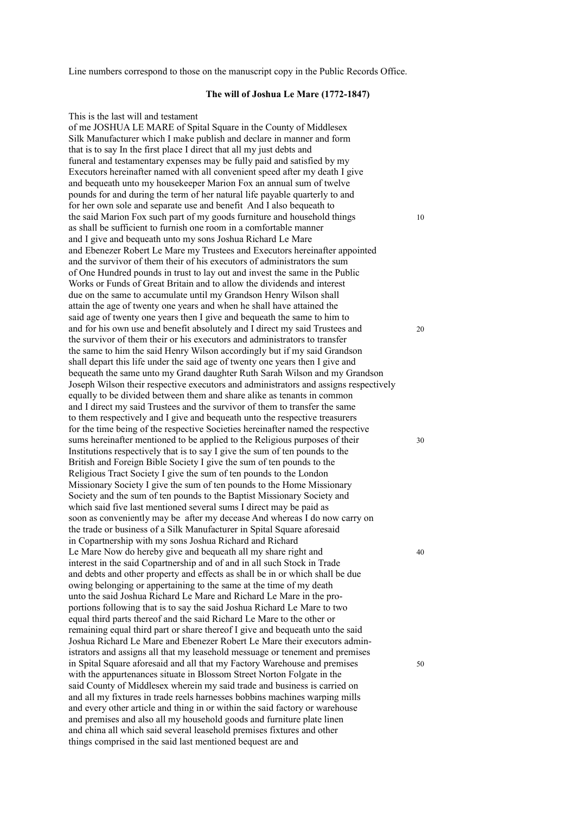Line numbers correspond to those on the manuscript copy in the Public Records Office.

## **The will of Joshua Le Mare (1772-1847)**

This is the last will and testament

of me JOSHUA LE MARE of Spital Square in the County of Middlesex Silk Manufacturer which I make publish and declare in manner and form that is to say In the first place I direct that all my just debts and funeral and testamentary expenses may be fully paid and satisfied by my Executors hereinafter named with all convenient speed after my death I give and bequeath unto my housekeeper Marion Fox an annual sum of twelve pounds for and during the term of her natural life payable quarterly to and for her own sole and separate use and benefit And I also bequeath to the said Marion Fox such part of my goods furniture and household things 10 as shall be sufficient to furnish one room in a comfortable manner and I give and bequeath unto my sons Joshua Richard Le Mare and Ebenezer Robert Le Mare my Trustees and Executors hereinafter appointed and the survivor of them their of his executors of administrators the sum of One Hundred pounds in trust to lay out and invest the same in the Public Works or Funds of Great Britain and to allow the dividends and interest due on the same to accumulate until my Grandson Henry Wilson shall attain the age of twenty one years and when he shall have attained the said age of twenty one years then I give and bequeath the same to him to and for his own use and benefit absolutely and I direct my said Trustees and 20 the survivor of them their or his executors and administrators to transfer the same to him the said Henry Wilson accordingly but if my said Grandson shall depart this life under the said age of twenty one years then I give and bequeath the same unto my Grand daughter Ruth Sarah Wilson and my Grandson Joseph Wilson their respective executors and administrators and assigns respectively equally to be divided between them and share alike as tenants in common and I direct my said Trustees and the survivor of them to transfer the same to them respectively and I give and bequeath unto the respective treasurers for the time being of the respective Societies hereinafter named the respective sums hereinafter mentioned to be applied to the Religious purposes of their  $30$ Institutions respectively that is to say I give the sum of ten pounds to the British and Foreign Bible Society I give the sum of ten pounds to the Religious Tract Society I give the sum of ten pounds to the London Missionary Society I give the sum of ten pounds to the Home Missionary Society and the sum of ten pounds to the Baptist Missionary Society and which said five last mentioned several sums I direct may be paid as soon as conveniently may be after my decease And whereas I do now carry on the trade or business of a Silk Manufacturer in Spital Square aforesaid in Copartnership with my sons Joshua Richard and Richard Le Mare Now do hereby give and bequeath all my share right and 40 interest in the said Copartnership and of and in all such Stock in Trade and debts and other property and effects as shall be in or which shall be due owing belonging or appertaining to the same at the time of my death unto the said Joshua Richard Le Mare and Richard Le Mare in the proportions following that is to say the said Joshua Richard Le Mare to two equal third parts thereof and the said Richard Le Mare to the other or remaining equal third part or share thereof I give and bequeath unto the said Joshua Richard Le Mare and Ebenezer Robert Le Mare their executors administrators and assigns all that my leasehold messuage or tenement and premises in Spital Square aforesaid and all that my Factory Warehouse and premises 50 with the appurtenances situate in Blossom Street Norton Folgate in the said County of Middlesex wherein my said trade and business is carried on and all my fixtures in trade reels harnesses bobbins machines warping mills and every other article and thing in or within the said factory or warehouse and premises and also all my household goods and furniture plate linen and china all which said several leasehold premises fixtures and other things comprised in the said last mentioned bequest are and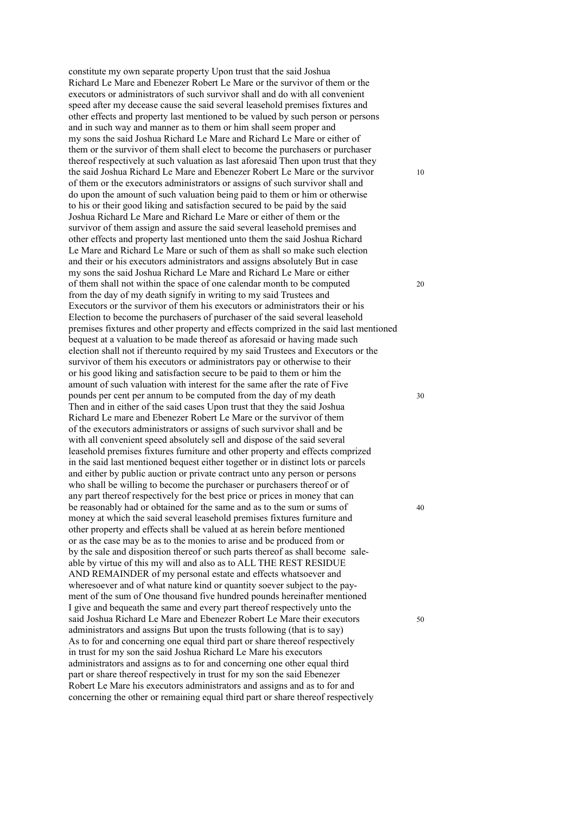constitute my own separate property Upon trust that the said Joshua Richard Le Mare and Ebenezer Robert Le Mare or the survivor of them or the executors or administrators of such survivor shall and do with all convenient speed after my decease cause the said several leasehold premises fixtures and other effects and property last mentioned to be valued by such person or persons and in such way and manner as to them or him shall seem proper and my sons the said Joshua Richard Le Mare and Richard Le Mare or either of them or the survivor of them shall elect to become the purchasers or purchaser thereof respectively at such valuation as last aforesaid Then upon trust that they the said Joshua Richard Le Mare and Ebenezer Robert Le Mare or the survivor 10 of them or the executors administrators or assigns of such survivor shall and do upon the amount of such valuation being paid to them or him or otherwise to his or their good liking and satisfaction secured to be paid by the said Joshua Richard Le Mare and Richard Le Mare or either of them or the survivor of them assign and assure the said several leasehold premises and other effects and property last mentioned unto them the said Joshua Richard Le Mare and Richard Le Mare or such of them as shall so make such election and their or his executors administrators and assigns absolutely But in case my sons the said Joshua Richard Le Mare and Richard Le Mare or either of them shall not within the space of one calendar month to be computed 20 from the day of my death signify in writing to my said Trustees and Executors or the survivor of them his executors or administrators their or his Election to become the purchasers of purchaser of the said several leasehold premises fixtures and other property and effects comprized in the said last mentioned bequest at a valuation to be made thereof as aforesaid or having made such election shall not if thereunto required by my said Trustees and Executors or the survivor of them his executors or administrators pay or otherwise to their or his good liking and satisfaction secure to be paid to them or him the amount of such valuation with interest for the same after the rate of Five pounds per cent per annum to be computed from the day of my death 30 Then and in either of the said cases Upon trust that they the said Joshua Richard Le mare and Ebenezer Robert Le Mare or the survivor of them of the executors administrators or assigns of such survivor shall and be with all convenient speed absolutely sell and dispose of the said several leasehold premises fixtures furniture and other property and effects comprized in the said last mentioned bequest either together or in distinct lots or parcels and either by public auction or private contract unto any person or persons who shall be willing to become the purchaser or purchasers thereof or of any part thereof respectively for the best price or prices in money that can be reasonably had or obtained for the same and as to the sum or sums of  $\frac{40}{2}$ money at which the said several leasehold premises fixtures furniture and other property and effects shall be valued at as herein before mentioned or as the case may be as to the monies to arise and be produced from or by the sale and disposition thereof or such parts thereof as shall become saleable by virtue of this my will and also as to ALL THE REST RESIDUE AND REMAINDER of my personal estate and effects whatsoever and wheresoever and of what nature kind or quantity soever subject to the payment of the sum of One thousand five hundred pounds hereinafter mentioned I give and bequeath the same and every part thereof respectively unto the said Joshua Richard Le Mare and Ebenezer Robert Le Mare their executors 50 administrators and assigns But upon the trusts following (that is to say) As to for and concerning one equal third part or share thereof respectively in trust for my son the said Joshua Richard Le Mare his executors administrators and assigns as to for and concerning one other equal third part or share thereof respectively in trust for my son the said Ebenezer Robert Le Mare his executors administrators and assigns and as to for and concerning the other or remaining equal third part or share thereof respectively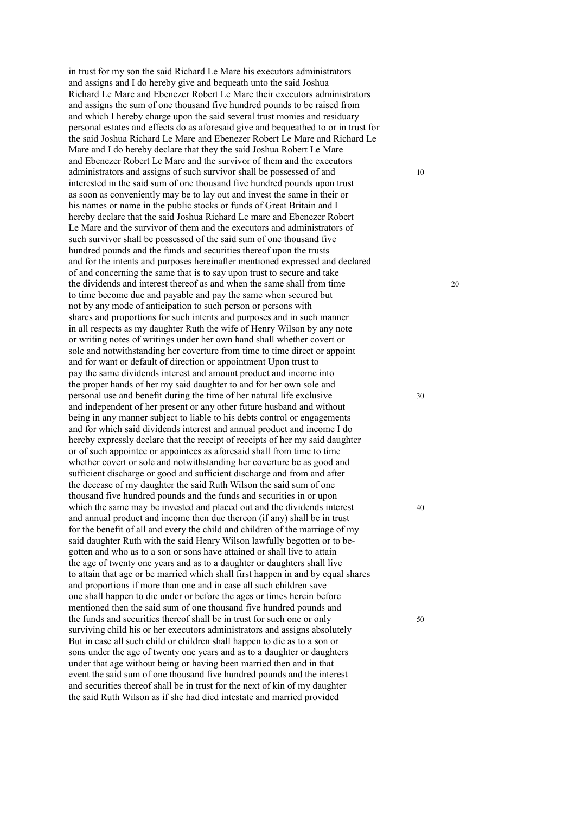in trust for my son the said Richard Le Mare his executors administrators and assigns and I do hereby give and bequeath unto the said Joshua Richard Le Mare and Ebenezer Robert Le Mare their executors administrators and assigns the sum of one thousand five hundred pounds to be raised from and which I hereby charge upon the said several trust monies and residuary personal estates and effects do as aforesaid give and bequeathed to or in trust for the said Joshua Richard Le Mare and Ebenezer Robert Le Mare and Richard Le Mare and I do hereby declare that they the said Joshua Robert Le Mare and Ebenezer Robert Le Mare and the survivor of them and the executors administrators and assigns of such survivor shall be possessed of and 10 interested in the said sum of one thousand five hundred pounds upon trust as soon as conveniently may be to lay out and invest the same in their or his names or name in the public stocks or funds of Great Britain and I hereby declare that the said Joshua Richard Le mare and Ebenezer Robert Le Mare and the survivor of them and the executors and administrators of such survivor shall be possessed of the said sum of one thousand five hundred pounds and the funds and securities thereof upon the trusts and for the intents and purposes hereinafter mentioned expressed and declared of and concerning the same that is to say upon trust to secure and take the dividends and interest thereof as and when the same shall from time 20 to time become due and payable and pay the same when secured but not by any mode of anticipation to such person or persons with shares and proportions for such intents and purposes and in such manner in all respects as my daughter Ruth the wife of Henry Wilson by any note or writing notes of writings under her own hand shall whether covert or sole and notwithstanding her coverture from time to time direct or appoint and for want or default of direction or appointment Upon trust to pay the same dividends interest and amount product and income into the proper hands of her my said daughter to and for her own sole and personal use and benefit during the time of her natural life exclusive 30 and independent of her present or any other future husband and without being in any manner subject to liable to his debts control or engagements and for which said dividends interest and annual product and income I do hereby expressly declare that the receipt of receipts of her my said daughter or of such appointee or appointees as aforesaid shall from time to time whether covert or sole and notwithstanding her coverture be as good and sufficient discharge or good and sufficient discharge and from and after the decease of my daughter the said Ruth Wilson the said sum of one thousand five hundred pounds and the funds and securities in or upon which the same may be invested and placed out and the dividends interest 40 and annual product and income then due thereon (if any) shall be in trust for the benefit of all and every the child and children of the marriage of my said daughter Ruth with the said Henry Wilson lawfully begotten or to begotten and who as to a son or sons have attained or shall live to attain the age of twenty one years and as to a daughter or daughters shall live to attain that age or be married which shall first happen in and by equal shares and proportions if more than one and in case all such children save one shall happen to die under or before the ages or times herein before mentioned then the said sum of one thousand five hundred pounds and the funds and securities thereof shall be in trust for such one or only 50 surviving child his or her executors administrators and assigns absolutely But in case all such child or children shall happen to die as to a son or sons under the age of twenty one years and as to a daughter or daughters under that age without being or having been married then and in that event the said sum of one thousand five hundred pounds and the interest and securities thereof shall be in trust for the next of kin of my daughter the said Ruth Wilson as if she had died intestate and married provided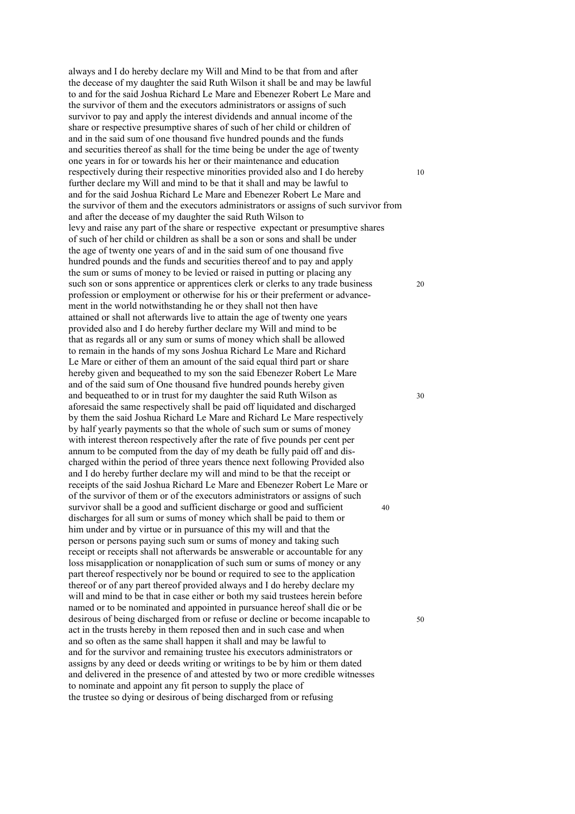always and I do hereby declare my Will and Mind to be that from and after the decease of my daughter the said Ruth Wilson it shall be and may be lawful to and for the said Joshua Richard Le Mare and Ebenezer Robert Le Mare and the survivor of them and the executors administrators or assigns of such survivor to pay and apply the interest dividends and annual income of the share or respective presumptive shares of such of her child or children of and in the said sum of one thousand five hundred pounds and the funds and securities thereof as shall for the time being be under the age of twenty one years in for or towards his her or their maintenance and education respectively during their respective minorities provided also and I do hereby 10 further declare my Will and mind to be that it shall and may be lawful to and for the said Joshua Richard Le Mare and Ebenezer Robert Le Mare and the survivor of them and the executors administrators or assigns of such survivor from and after the decease of my daughter the said Ruth Wilson to levy and raise any part of the share or respective expectant or presumptive shares of such of her child or children as shall be a son or sons and shall be under the age of twenty one years of and in the said sum of one thousand five hundred pounds and the funds and securities thereof and to pay and apply the sum or sums of money to be levied or raised in putting or placing any such son or sons apprentice or apprentices clerk or clerks to any trade business 20 profession or employment or otherwise for his or their preferment or advancement in the world notwithstanding he or they shall not then have attained or shall not afterwards live to attain the age of twenty one years provided also and I do hereby further declare my Will and mind to be that as regards all or any sum or sums of money which shall be allowed to remain in the hands of my sons Joshua Richard Le Mare and Richard Le Mare or either of them an amount of the said equal third part or share hereby given and bequeathed to my son the said Ebenezer Robert Le Mare and of the said sum of One thousand five hundred pounds hereby given and bequeathed to or in trust for my daughter the said Ruth Wilson as 30 aforesaid the same respectively shall be paid off liquidated and discharged by them the said Joshua Richard Le Mare and Richard Le Mare respectively by half yearly payments so that the whole of such sum or sums of money with interest thereon respectively after the rate of five pounds per cent per annum to be computed from the day of my death be fully paid off and discharged within the period of three years thence next following Provided also and I do hereby further declare my will and mind to be that the receipt or receipts of the said Joshua Richard Le Mare and Ebenezer Robert Le Mare or of the survivor of them or of the executors administrators or assigns of such survivor shall be a good and sufficient discharge or good and sufficient 40 discharges for all sum or sums of money which shall be paid to them or him under and by virtue or in pursuance of this my will and that the person or persons paying such sum or sums of money and taking such receipt or receipts shall not afterwards be answerable or accountable for any loss misapplication or nonapplication of such sum or sums of money or any part thereof respectively nor be bound or required to see to the application thereof or of any part thereof provided always and I do hereby declare my will and mind to be that in case either or both my said trustees herein before named or to be nominated and appointed in pursuance hereof shall die or be desirous of being discharged from or refuse or decline or become incapable to 50 act in the trusts hereby in them reposed then and in such case and when and so often as the same shall happen it shall and may be lawful to and for the survivor and remaining trustee his executors administrators or assigns by any deed or deeds writing or writings to be by him or them dated and delivered in the presence of and attested by two or more credible witnesses to nominate and appoint any fit person to supply the place of the trustee so dying or desirous of being discharged from or refusing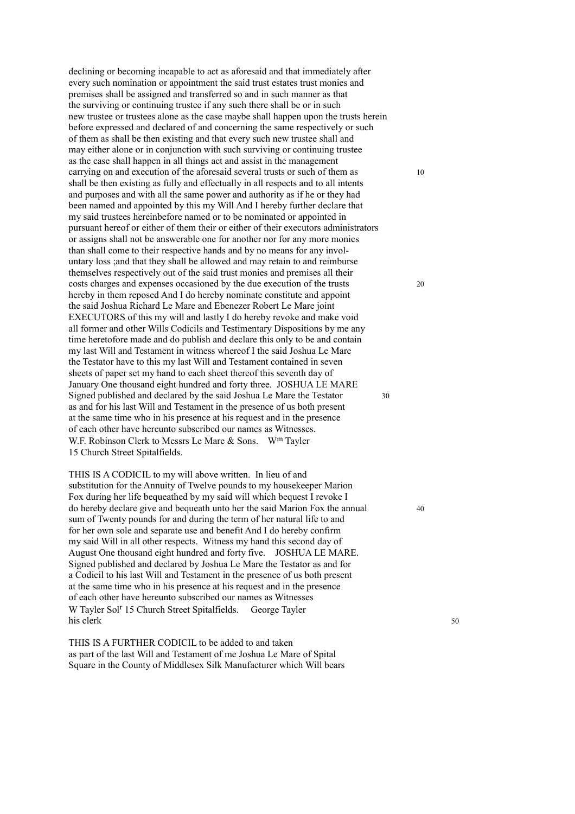declining or becoming incapable to act as aforesaid and that immediately after every such nomination or appointment the said trust estates trust monies and premises shall be assigned and transferred so and in such manner as that the surviving or continuing trustee if any such there shall be or in such new trustee or trustees alone as the case maybe shall happen upon the trusts herein before expressed and declared of and concerning the same respectively or such of them as shall be then existing and that every such new trustee shall and may either alone or in conjunction with such surviving or continuing trustee as the case shall happen in all things act and assist in the management carrying on and execution of the aforesaid several trusts or such of them as 10 shall be then existing as fully and effectually in all respects and to all intents and purposes and with all the same power and authority as if he or they had been named and appointed by this my Will And I hereby further declare that my said trustees hereinbefore named or to be nominated or appointed in pursuant hereof or either of them their or either of their executors administrators or assigns shall not be answerable one for another nor for any more monies than shall come to their respective hands and by no means for any involuntary loss ;and that they shall be allowed and may retain to and reimburse themselves respectively out of the said trust monies and premises all their costs charges and expenses occasioned by the due execution of the trusts 20 hereby in them reposed And I do hereby nominate constitute and appoint the said Joshua Richard Le Mare and Ebenezer Robert Le Mare joint EXECUTORS of this my will and lastly I do hereby revoke and make void all former and other Wills Codicils and Testimentary Dispositions by me any time heretofore made and do publish and declare this only to be and contain my last Will and Testament in witness whereof I the said Joshua Le Mare the Testator have to this my last Will and Testament contained in seven sheets of paper set my hand to each sheet thereof this seventh day of January One thousand eight hundred and forty three. JOSHUA LE MARE Signed published and declared by the said Joshua Le Mare the Testator 30 as and for his last Will and Testament in the presence of us both present at the same time who in his presence at his request and in the presence of each other have hereunto subscribed our names as Witnesses. W.F. Robinson Clerk to Messrs Le Mare & Sons. W<sup>m</sup> Tayler 15 Church Street Spitalfields.

THIS IS A CODICIL to my will above written. In lieu of and substitution for the Annuity of Twelve pounds to my housekeeper Marion Fox during her life bequeathed by my said will which bequest I revoke I do hereby declare give and bequeath unto her the said Marion Fox the annual 40 sum of Twenty pounds for and during the term of her natural life to and for her own sole and separate use and benefit And I do hereby confirm my said Will in all other respects. Witness my hand this second day of August One thousand eight hundred and forty five. JOSHUA LE MARE. Signed published and declared by Joshua Le Mare the Testator as and for a Codicil to his last Will and Testament in the presence of us both present at the same time who in his presence at his request and in the presence of each other have hereunto subscribed our names as Witnesses W Tayler Sol<sup>r</sup> 15 Church Street Spitalfields. George Tayler his clerk 50

THIS IS A FURTHER CODICIL to be added to and taken as part of the last Will and Testament of me Joshua Le Mare of Spital Square in the County of Middlesex Silk Manufacturer which Will bears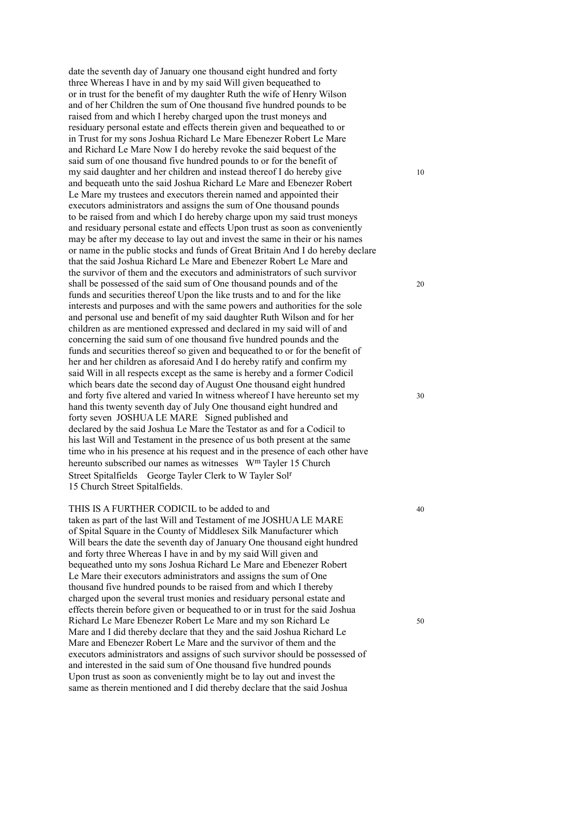date the seventh day of January one thousand eight hundred and forty three Whereas I have in and by my said Will given bequeathed to or in trust for the benefit of my daughter Ruth the wife of Henry Wilson and of her Children the sum of One thousand five hundred pounds to be raised from and which I hereby charged upon the trust moneys and residuary personal estate and effects therein given and bequeathed to or in Trust for my sons Joshua Richard Le Mare Ebenezer Robert Le Mare and Richard Le Mare Now I do hereby revoke the said bequest of the said sum of one thousand five hundred pounds to or for the benefit of my said daughter and her children and instead thereof I do hereby give 10 and bequeath unto the said Joshua Richard Le Mare and Ebenezer Robert Le Mare my trustees and executors therein named and appointed their executors administrators and assigns the sum of One thousand pounds to be raised from and which I do hereby charge upon my said trust moneys and residuary personal estate and effects Upon trust as soon as conveniently may be after my decease to lay out and invest the same in their or his names or name in the public stocks and funds of Great Britain And I do hereby declare that the said Joshua Richard Le Mare and Ebenezer Robert Le Mare and the survivor of them and the executors and administrators of such survivor shall be possessed of the said sum of One thousand pounds and of the 20 funds and securities thereof Upon the like trusts and to and for the like interests and purposes and with the same powers and authorities for the sole and personal use and benefit of my said daughter Ruth Wilson and for her children as are mentioned expressed and declared in my said will of and concerning the said sum of one thousand five hundred pounds and the funds and securities thereof so given and bequeathed to or for the benefit of her and her children as aforesaid And I do hereby ratify and confirm my said Will in all respects except as the same is hereby and a former Codicil which bears date the second day of August One thousand eight hundred and forty five altered and varied In witness whereof I have hereunto set my 30 hand this twenty seventh day of July One thousand eight hundred and forty seven JOSHUA LE MARE Signed published and declared by the said Joshua Le Mare the Testator as and for a Codicil to his last Will and Testament in the presence of us both present at the same time who in his presence at his request and in the presence of each other have hereunto subscribed our names as witnesses W<sup>m</sup> Tayler 15 Church Street Spitalfields George Tayler Clerk to W Tayler Solr 15 Church Street Spitalfields.

THIS IS A FURTHER CODICIL to be added to and 40 taken as part of the last Will and Testament of me JOSHUA LE MARE of Spital Square in the County of Middlesex Silk Manufacturer which Will bears the date the seventh day of January One thousand eight hundred and forty three Whereas I have in and by my said Will given and bequeathed unto my sons Joshua Richard Le Mare and Ebenezer Robert Le Mare their executors administrators and assigns the sum of One thousand five hundred pounds to be raised from and which I thereby charged upon the several trust monies and residuary personal estate and effects therein before given or bequeathed to or in trust for the said Joshua Richard Le Mare Ebenezer Robert Le Mare and my son Richard Le 50 Mare and I did thereby declare that they and the said Joshua Richard Le Mare and Ebenezer Robert Le Mare and the survivor of them and the executors administrators and assigns of such survivor should be possessed of and interested in the said sum of One thousand five hundred pounds Upon trust as soon as conveniently might be to lay out and invest the same as therein mentioned and I did thereby declare that the said Joshua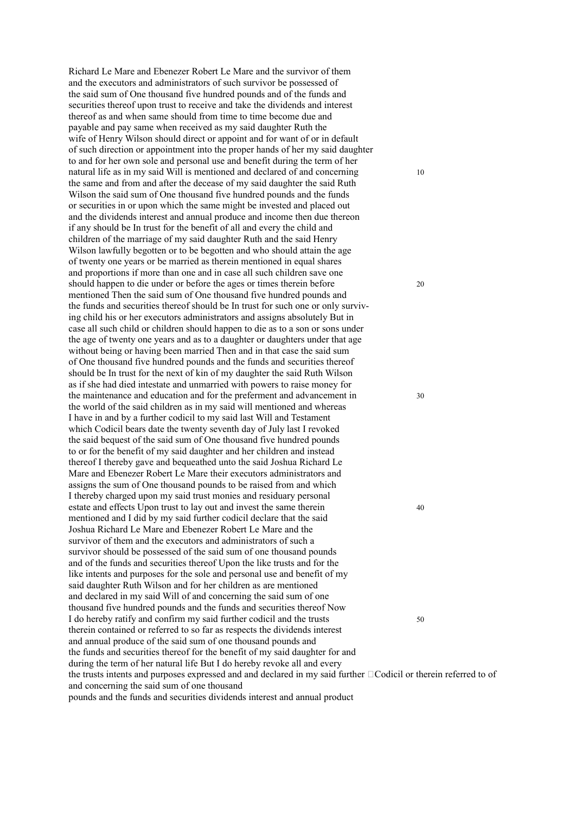Richard Le Mare and Ebenezer Robert Le Mare and the survivor of them and the executors and administrators of such survivor be possessed of the said sum of One thousand five hundred pounds and of the funds and securities thereof upon trust to receive and take the dividends and interest thereof as and when same should from time to time become due and payable and pay same when received as my said daughter Ruth the wife of Henry Wilson should direct or appoint and for want of or in default of such direction or appointment into the proper hands of her my said daughter to and for her own sole and personal use and benefit during the term of her natural life as in my said Will is mentioned and declared of and concerning 10 the same and from and after the decease of my said daughter the said Ruth Wilson the said sum of One thousand five hundred pounds and the funds or securities in or upon which the same might be invested and placed out and the dividends interest and annual produce and income then due thereon if any should be In trust for the benefit of all and every the child and children of the marriage of my said daughter Ruth and the said Henry Wilson lawfully begotten or to be begotten and who should attain the age of twenty one years or be married as therein mentioned in equal shares and proportions if more than one and in case all such children save one should happen to die under or before the ages or times therein before 20 mentioned Then the said sum of One thousand five hundred pounds and the funds and securities thereof should be In trust for such one or only surviving child his or her executors administrators and assigns absolutely But in case all such child or children should happen to die as to a son or sons under the age of twenty one years and as to a daughter or daughters under that age without being or having been married Then and in that case the said sum of One thousand five hundred pounds and the funds and securities thereof should be In trust for the next of kin of my daughter the said Ruth Wilson as if she had died intestate and unmarried with powers to raise money for the maintenance and education and for the preferment and advancement in 30 the world of the said children as in my said will mentioned and whereas I have in and by a further codicil to my said last Will and Testament which Codicil bears date the twenty seventh day of July last I revoked the said bequest of the said sum of One thousand five hundred pounds to or for the benefit of my said daughter and her children and instead thereof I thereby gave and bequeathed unto the said Joshua Richard Le Mare and Ebenezer Robert Le Mare their executors administrators and assigns the sum of One thousand pounds to be raised from and which I thereby charged upon my said trust monies and residuary personal estate and effects Upon trust to lay out and invest the same therein 40 mentioned and I did by my said further codicil declare that the said Joshua Richard Le Mare and Ebenezer Robert Le Mare and the survivor of them and the executors and administrators of such a survivor should be possessed of the said sum of one thousand pounds and of the funds and securities thereof Upon the like trusts and for the like intents and purposes for the sole and personal use and benefit of my said daughter Ruth Wilson and for her children as are mentioned and declared in my said Will of and concerning the said sum of one thousand five hundred pounds and the funds and securities thereof Now I do hereby ratify and confirm my said further codicil and the trusts 50 therein contained or referred to so far as respects the dividends interest and annual produce of the said sum of one thousand pounds and the funds and securities thereof for the benefit of my said daughter for and during the term of her natural life But I do hereby revoke all and every the trusts intents and purposes expressed and and declared in my said further  $\Box$ Codicil or therein referred to of and concerning the said sum of one thousand pounds and the funds and securities dividends interest and annual product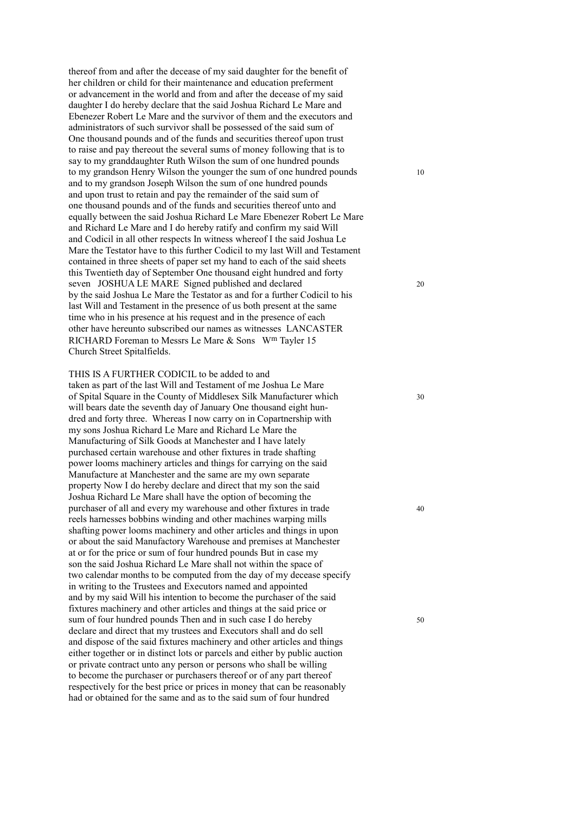thereof from and after the decease of my said daughter for the benefit of her children or child for their maintenance and education preferment or advancement in the world and from and after the decease of my said daughter I do hereby declare that the said Joshua Richard Le Mare and Ebenezer Robert Le Mare and the survivor of them and the executors and administrators of such survivor shall be possessed of the said sum of One thousand pounds and of the funds and securities thereof upon trust to raise and pay thereout the several sums of money following that is to say to my granddaughter Ruth Wilson the sum of one hundred pounds to my grandson Henry Wilson the younger the sum of one hundred pounds 10 and to my grandson Joseph Wilson the sum of one hundred pounds and upon trust to retain and pay the remainder of the said sum of one thousand pounds and of the funds and securities thereof unto and equally between the said Joshua Richard Le Mare Ebenezer Robert Le Mare and Richard Le Mare and I do hereby ratify and confirm my said Will and Codicil in all other respects In witness whereof I the said Joshua Le Mare the Testator have to this further Codicil to my last Will and Testament contained in three sheets of paper set my hand to each of the said sheets this Twentieth day of September One thousand eight hundred and forty seven JOSHUA LE MARE Signed published and declared 20 by the said Joshua Le Mare the Testator as and for a further Codicil to his last Will and Testament in the presence of us both present at the same time who in his presence at his request and in the presence of each other have hereunto subscribed our names as witnesses LANCASTER RICHARD Foreman to Messrs Le Mare & Sons Wm Tayler 15 Church Street Spitalfields.

THIS IS A FURTHER CODICIL to be added to and taken as part of the last Will and Testament of me Joshua Le Mare of Spital Square in the County of Middlesex Silk Manufacturer which 30 will bears date the seventh day of January One thousand eight hundred and forty three. Whereas I now carry on in Copartnership with my sons Joshua Richard Le Mare and Richard Le Mare the Manufacturing of Silk Goods at Manchester and I have lately purchased certain warehouse and other fixtures in trade shafting power looms machinery articles and things for carrying on the said Manufacture at Manchester and the same are my own separate property Now I do hereby declare and direct that my son the said Joshua Richard Le Mare shall have the option of becoming the purchaser of all and every my warehouse and other fixtures in trade 40 reels harnesses bobbins winding and other machines warping mills shafting power looms machinery and other articles and things in upon or about the said Manufactory Warehouse and premises at Manchester at or for the price or sum of four hundred pounds But in case my son the said Joshua Richard Le Mare shall not within the space of two calendar months to be computed from the day of my decease specify in writing to the Trustees and Executors named and appointed and by my said Will his intention to become the purchaser of the said fixtures machinery and other articles and things at the said price or sum of four hundred pounds Then and in such case I do hereby 50 declare and direct that my trustees and Executors shall and do sell and dispose of the said fixtures machinery and other articles and things either together or in distinct lots or parcels and either by public auction or private contract unto any person or persons who shall be willing to become the purchaser or purchasers thereof or of any part thereof respectively for the best price or prices in money that can be reasonably had or obtained for the same and as to the said sum of four hundred